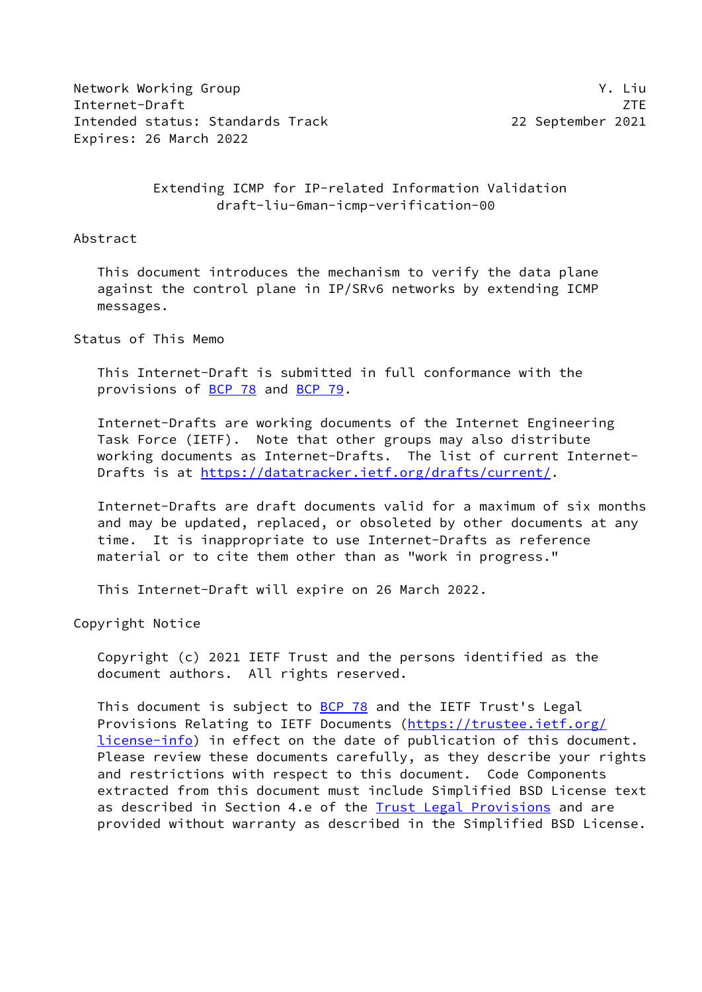Network Working Group Y. Liu Internet-Draft ZTE Intended status: Standards Track 22 September 2021 Expires: 26 March 2022

 Extending ICMP for IP-related Information Validation draft-liu-6man-icmp-verification-00

#### Abstract

 This document introduces the mechanism to verify the data plane against the control plane in IP/SRv6 networks by extending ICMP messages.

Status of This Memo

 This Internet-Draft is submitted in full conformance with the provisions of [BCP 78](https://datatracker.ietf.org/doc/pdf/bcp78) and [BCP 79](https://datatracker.ietf.org/doc/pdf/bcp79).

 Internet-Drafts are working documents of the Internet Engineering Task Force (IETF). Note that other groups may also distribute working documents as Internet-Drafts. The list of current Internet Drafts is at<https://datatracker.ietf.org/drafts/current/>.

 Internet-Drafts are draft documents valid for a maximum of six months and may be updated, replaced, or obsoleted by other documents at any time. It is inappropriate to use Internet-Drafts as reference material or to cite them other than as "work in progress."

This Internet-Draft will expire on 26 March 2022.

Copyright Notice

 Copyright (c) 2021 IETF Trust and the persons identified as the document authors. All rights reserved.

This document is subject to **[BCP 78](https://datatracker.ietf.org/doc/pdf/bcp78)** and the IETF Trust's Legal Provisions Relating to IETF Documents ([https://trustee.ietf.org/](https://trustee.ietf.org/license-info) [license-info](https://trustee.ietf.org/license-info)) in effect on the date of publication of this document. Please review these documents carefully, as they describe your rights and restrictions with respect to this document. Code Components extracted from this document must include Simplified BSD License text as described in Section 4.e of the **[Trust Legal Provisions](https://trustee.ietf.org/license-info)** and are provided without warranty as described in the Simplified BSD License.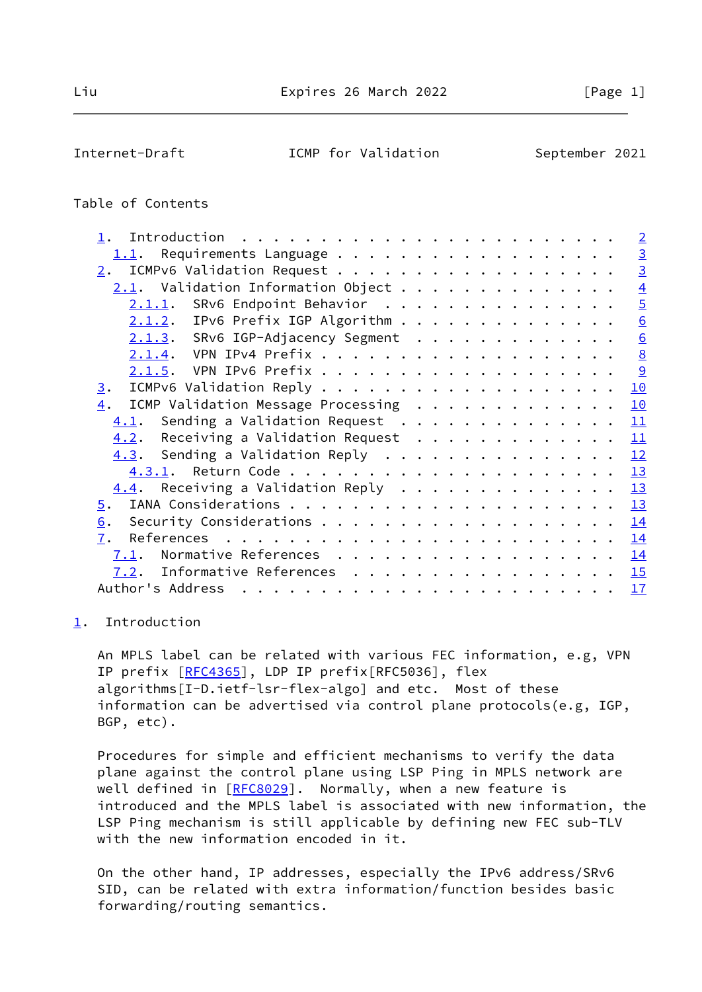<span id="page-1-1"></span>

## Table of Contents

|                                                  | $\overline{2}$  |
|--------------------------------------------------|-----------------|
| Requirements Language<br>1.1.                    | $\overline{3}$  |
| ICMPv6 Validation Request<br>2.                  | $\overline{3}$  |
| $2.1$ . Validation Information Object            | $\overline{4}$  |
| 2.1.1. SRv6 Endpoint Behavior                    | $\overline{5}$  |
| $2.1.2$ . IPv6 Prefix IGP Algorithm              | $\underline{6}$ |
| 2.1.3. SRv6 IGP-Adjacency Segment                | $\underline{6}$ |
|                                                  | $\underline{8}$ |
|                                                  | 9               |
| 3.                                               | 10              |
| ICMP Validation Message Processing<br>4.         | 10              |
| $\underline{4.1}$ . Sending a Validation Request | 11              |
| Receiving a Validation Request<br>4.2.           | 11              |
| 4.3. Sending a Validation Reply                  | 12              |
|                                                  | 13              |
| $4.4$ . Receiving a Validation Reply             | 13              |
| 5.                                               | 13              |
| 6.                                               | 14              |
| 7.                                               | 14              |
| Normative References<br>7.1.                     | 14              |
| Informative References<br>7.2.                   | 15              |
| Author's Address                                 | 17              |
|                                                  |                 |

# <span id="page-1-0"></span>[1](#page-1-0). Introduction

 An MPLS label can be related with various FEC information, e.g, VPN IP prefix [[RFC4365](https://datatracker.ietf.org/doc/pdf/rfc4365)], LDP IP prefix[RFC5036], flex algorithms[I-D.ietf-lsr-flex-algo] and etc. Most of these information can be advertised via control plane protocols(e.g, IGP, BGP, etc).

 Procedures for simple and efficient mechanisms to verify the data plane against the control plane using LSP Ping in MPLS network are well defined in [\[RFC8029](https://datatracker.ietf.org/doc/pdf/rfc8029)]. Normally, when a new feature is introduced and the MPLS label is associated with new information, the LSP Ping mechanism is still applicable by defining new FEC sub-TLV with the new information encoded in it.

 On the other hand, IP addresses, especially the IPv6 address/SRv6 SID, can be related with extra information/function besides basic forwarding/routing semantics.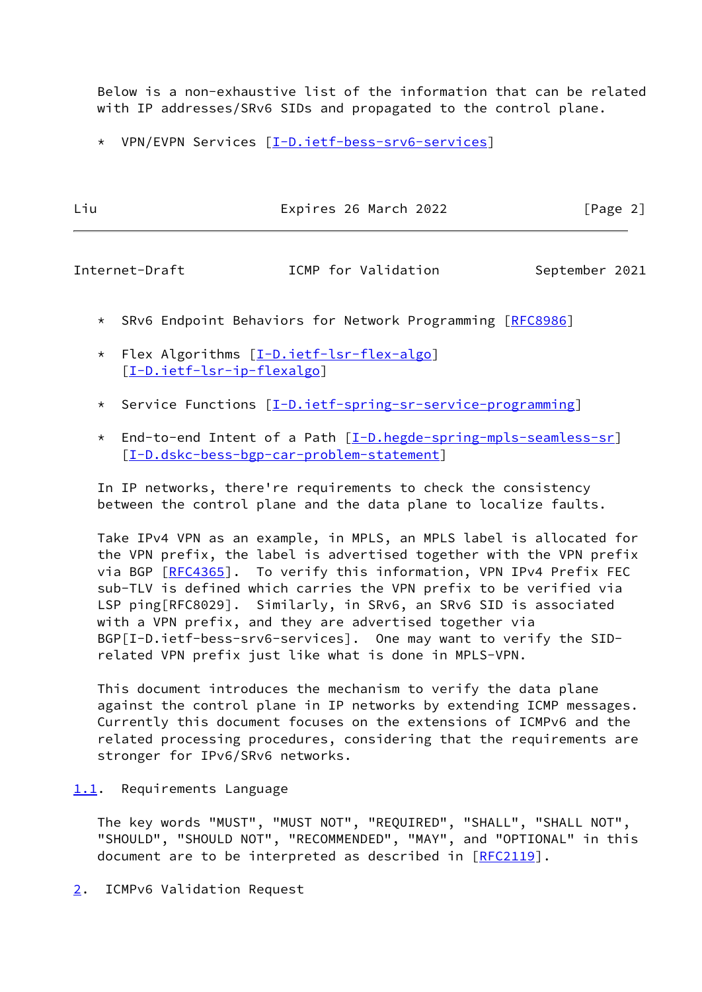Below is a non-exhaustive list of the information that can be related with IP addresses/SRv6 SIDs and propagated to the control plane.

\* VPN/EVPN Services [\[I-D.ietf-bess-srv6-services](#page-17-0)]

| Liu | Expires 26 March 2022 | [Page 2] |  |
|-----|-----------------------|----------|--|
|     |                       |          |  |

<span id="page-2-1"></span>Internet-Draft **ICMP** for Validation September 2021

- \* SRv6 Endpoint Behaviors for Network Programming [[RFC8986\]](https://datatracker.ietf.org/doc/pdf/rfc8986)
- \* Flex Algorithms [[I-D.ietf-lsr-flex-algo](#page-17-1)] [[I-D.ietf-lsr-ip-flexalgo\]](#page-17-2)
- \* Service Functions [\[I-D.ietf-spring-sr-service-programming](#page-17-3)]
- \* End-to-end Intent of a Path [\[I-D.hegde-spring-mpls-seamless-sr](#page-17-4)] [[I-D.dskc-bess-bgp-car-problem-statement\]](#page-16-1)

 In IP networks, there're requirements to check the consistency between the control plane and the data plane to localize faults.

 Take IPv4 VPN as an example, in MPLS, an MPLS label is allocated for the VPN prefix, the label is advertised together with the VPN prefix via BGP [\[RFC4365](https://datatracker.ietf.org/doc/pdf/rfc4365)]. To verify this information, VPN IPv4 Prefix FEC sub-TLV is defined which carries the VPN prefix to be verified via LSP ping[RFC8029]. Similarly, in SRv6, an SRv6 SID is associated with a VPN prefix, and they are advertised together via BGP[I-D.ietf-bess-srv6-services]. One may want to verify the SID related VPN prefix just like what is done in MPLS-VPN.

 This document introduces the mechanism to verify the data plane against the control plane in IP networks by extending ICMP messages. Currently this document focuses on the extensions of ICMPv6 and the related processing procedures, considering that the requirements are stronger for IPv6/SRv6 networks.

## <span id="page-2-0"></span>[1.1](#page-2-0). Requirements Language

 The key words "MUST", "MUST NOT", "REQUIRED", "SHALL", "SHALL NOT", "SHOULD", "SHOULD NOT", "RECOMMENDED", "MAY", and "OPTIONAL" in this document are to be interpreted as described in [\[RFC2119](https://datatracker.ietf.org/doc/pdf/rfc2119)].

<span id="page-2-2"></span>[2](#page-2-2). ICMPv6 Validation Request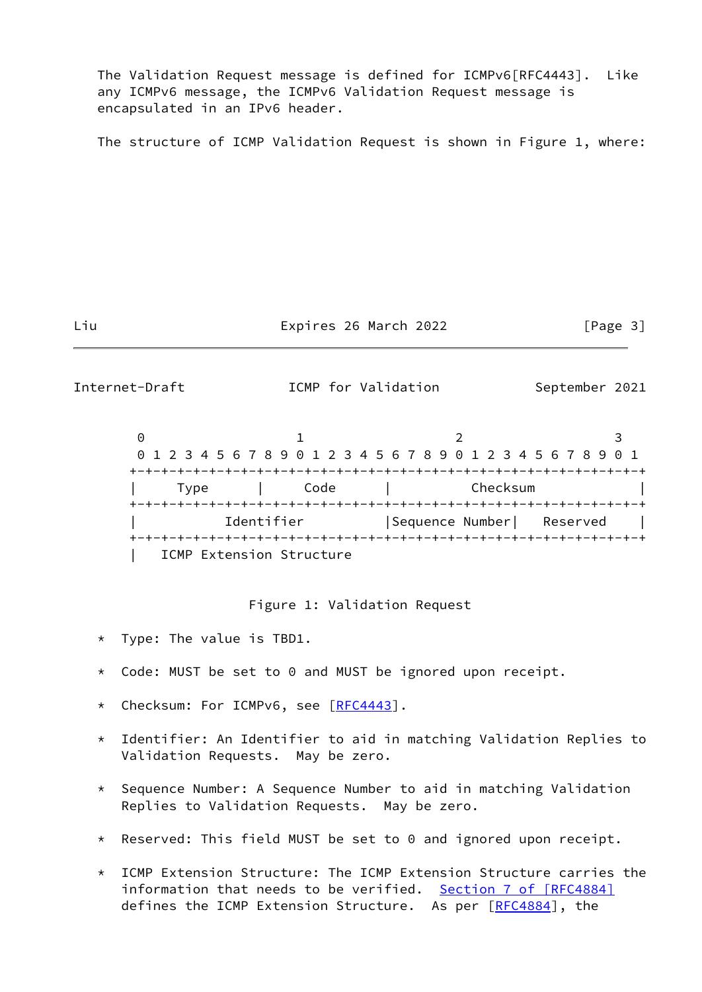The Validation Request message is defined for ICMPv6[RFC4443]. Like any ICMPv6 message, the ICMPv6 Validation Request message is encapsulated in an IPv6 header.

The structure of ICMP Validation Request is shown in Figure 1, where:

Liu **Expires 26 March 2022** [Page 3]

<span id="page-3-0"></span>Internet-Draft **ICMP** for Validation September 2021

 $0$  1 2 3 0 1 2 3 4 5 6 7 8 9 0 1 2 3 4 5 6 7 8 9 0 1 2 3 4 5 6 7 8 9 0 1 +-+-+-+-+-+-+-+-+-+-+-+-+-+-+-+-+-+-+-+-+-+-+-+-+-+-+-+-+-+-+-+-+ | Type | Code | Checksum | +-+-+-+-+-+-+-+-+-+-+-+-+-+-+-+-+-+-+-+-+-+-+-+-+-+-+-+-+-+-+-+-+ Identifier | Sequence Number| Reserved | +-+-+-+-+-+-+-+-+-+-+-+-+-+-+-+-+-+-+-+-+-+-+-+-+-+-+-+-+-+-+-+-+ ICMP Extension Structure

Figure 1: Validation Request

- \* Type: The value is TBD1.
- \* Code: MUST be set to 0 and MUST be ignored upon receipt.
- \* Checksum: For ICMPv6, see [\[RFC4443](https://datatracker.ietf.org/doc/pdf/rfc4443)].
- \* Identifier: An Identifier to aid in matching Validation Replies to Validation Requests. May be zero.
- \* Sequence Number: A Sequence Number to aid in matching Validation Replies to Validation Requests. May be zero.
- \* Reserved: This field MUST be set to 0 and ignored upon receipt.
- \* ICMP Extension Structure: The ICMP Extension Structure carries the information that needs to be verified. Section [7 of \[RFC4884\]](https://datatracker.ietf.org/doc/pdf/rfc4884#section-7) defines the ICMP Extension Structure. As per [\[RFC4884](https://datatracker.ietf.org/doc/pdf/rfc4884)], the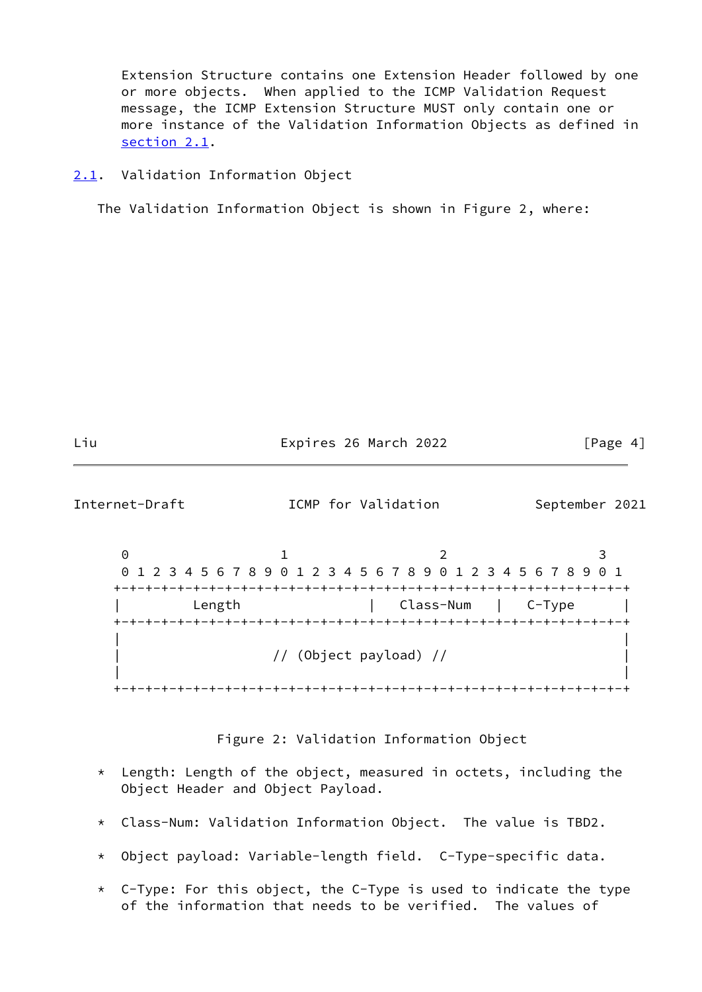Extension Structure contains one Extension Header followed by one or more objects. When applied to the ICMP Validation Request message, the ICMP Extension Structure MUST only contain one or more instance of the Validation Information Objects as defined in [section 2.1](#page-4-0).

<span id="page-4-0"></span>[2.1](#page-4-0). Validation Information Object

The Validation Information Object is shown in Figure 2, where:

Liu Expires 26 March 2022 [Page 4]

<span id="page-4-1"></span>Internet-Draft **ICMP** for Validation September 2021

0 1 2 3 0 1 2 3 4 5 6 7 8 9 0 1 2 3 4 5 6 7 8 9 0 1 2 3 4 5 6 7 8 9 0 1 +-+-+-+-+-+-+-+-+-+-+-+-+-+-+-+-+-+-+-+-+-+-+-+-+-+-+-+-+-+-+-+-+ | Length | Class-Num | C-Type | +-+-+-+-+-+-+-+-+-+-+-+-+-+-+-+-+-+-+-+-+-+-+-+-+-+-+-+-+-+-+-+-+ | | | // (Object payload) // | | | +-+-+-+-+-+-+-+-+-+-+-+-+-+-+-+-+-+-+-+-+-+-+-+-+-+-+-+-+-+-+-+-+

Figure 2: Validation Information Object

- \* Length: Length of the object, measured in octets, including the Object Header and Object Payload.
- \* Class-Num: Validation Information Object. The value is TBD2.
- \* Object payload: Variable-length field. C-Type-specific data.
- \* C-Type: For this object, the C-Type is used to indicate the type of the information that needs to be verified. The values of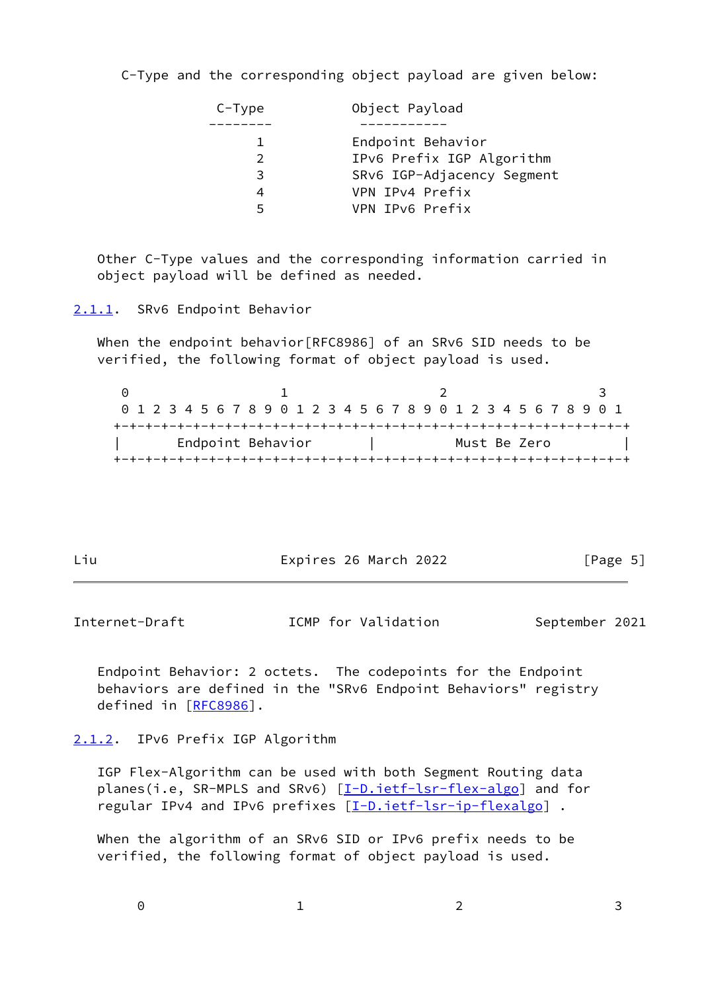C-Type and the corresponding object payload are given below:

| $C-Type$      | Object Payload             |
|---------------|----------------------------|
|               |                            |
|               | Endpoint Behavior          |
| $\mathcal{P}$ | IPv6 Prefix IGP Algorithm  |
| 3             | SRv6 IGP-Adjacency Segment |
| 4             | VPN IPv4 Prefix            |
| 5             | VPN IPv6 Prefix            |

 Other C-Type values and the corresponding information carried in object payload will be defined as needed.

<span id="page-5-0"></span>[2.1.1](#page-5-0). SRv6 Endpoint Behavior

When the endpoint behavior[RFC8986] of an SRv6 SID needs to be verified, the following format of object payload is used.

0 1 2 3 0 1 2 3 4 5 6 7 8 9 0 1 2 3 4 5 6 7 8 9 0 1 2 3 4 5 6 7 8 9 0 1 +-+-+-+-+-+-+-+-+-+-+-+-+-+-+-+-+-+-+-+-+-+-+-+-+-+-+-+-+-+-+-+-+ Endpoint Behavior | Must Be Zero +-+-+-+-+-+-+-+-+-+-+-+-+-+-+-+-+-+-+-+-+-+-+-+-+-+-+-+-+-+-+-+-+

Liu **Expires 26 March 2022** [Page 5]

<span id="page-5-2"></span>Internet-Draft **ICMP** for Validation September 2021

 Endpoint Behavior: 2 octets. The codepoints for the Endpoint behaviors are defined in the "SRv6 Endpoint Behaviors" registry defined in [[RFC8986\]](https://datatracker.ietf.org/doc/pdf/rfc8986).

<span id="page-5-1"></span>[2.1.2](#page-5-1). IPv6 Prefix IGP Algorithm

 IGP Flex-Algorithm can be used with both Segment Routing data planes(i.e, SR-MPLS and SRv6) [[I-D.ietf-lsr-flex-algo](#page-17-1)] and for regular IPv4 and IPv6 prefixes [\[I-D.ietf-lsr-ip-flexalgo](#page-17-2)] .

 When the algorithm of an SRv6 SID or IPv6 prefix needs to be verified, the following format of object payload is used.

 $0$  1 2 3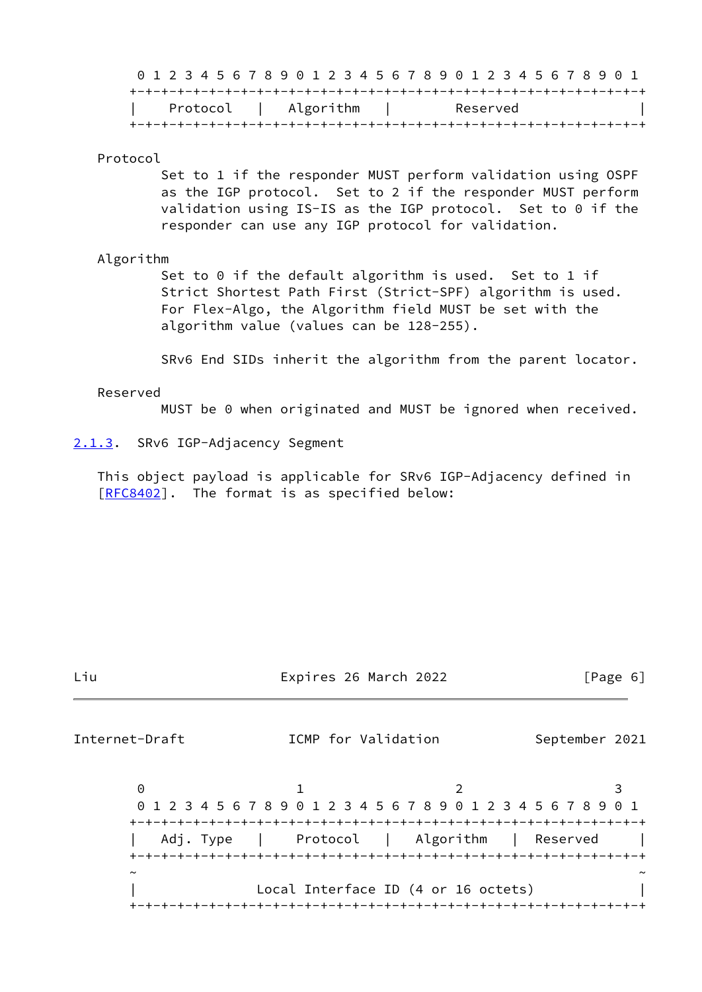0 1 2 3 4 5 6 7 8 9 0 1 2 3 4 5 6 7 8 9 0 1 2 3 4 5 6 7 8 9 0 1 +-+-+-+-+-+-+-+-+-+-+-+-+-+-+-+-+-+-+-+-+-+-+-+-+-+-+-+-+-+-+-+-+

| Protocol | Algorithm | Reserved |  |
|----------|-----------|----------|--|
|          |           |          |  |

#### Protocol

 Set to 1 if the responder MUST perform validation using OSPF as the IGP protocol. Set to 2 if the responder MUST perform validation using IS-IS as the IGP protocol. Set to 0 if the responder can use any IGP protocol for validation.

#### Algorithm

Set to 0 if the default algorithm is used. Set to 1 if Strict Shortest Path First (Strict-SPF) algorithm is used. For Flex-Algo, the Algorithm field MUST be set with the algorithm value (values can be 128-255).

SRv6 End SIDs inherit the algorithm from the parent locator.

#### Reserved

MUST be 0 when originated and MUST be ignored when received.

<span id="page-6-0"></span>[2.1.3](#page-6-0). SRv6 IGP-Adjacency Segment

 This object payload is applicable for SRv6 IGP-Adjacency defined in [\[RFC8402](https://datatracker.ietf.org/doc/pdf/rfc8402)]. The format is as specified below:

Liu Expires 26 March 2022 [Page 6]

Internet-Draft **ICMP** for Validation September 2021

 $0$  1 2 3 0 1 2 3 4 5 6 7 8 9 0 1 2 3 4 5 6 7 8 9 0 1 2 3 4 5 6 7 8 9 0 1 +-+-+-+-+-+-+-+-+-+-+-+-+-+-+-+-+-+-+-+-+-+-+-+-+-+-+-+-+-+-+-+-+ Adj. Type | Protocol | Algorithm | Reserved +-+-+-+-+-+-+-+-+-+-+-+-+-+-+-+-+-+-+-+-+-+-+-+-+-+-+-+-+-+-+-+-+ ~ ~ Local Interface ID (4 or 16 octets) +-+-+-+-+-+-+-+-+-+-+-+-+-+-+-+-+-+-+-+-+-+-+-+-+-+-+-+-+-+-+-+-+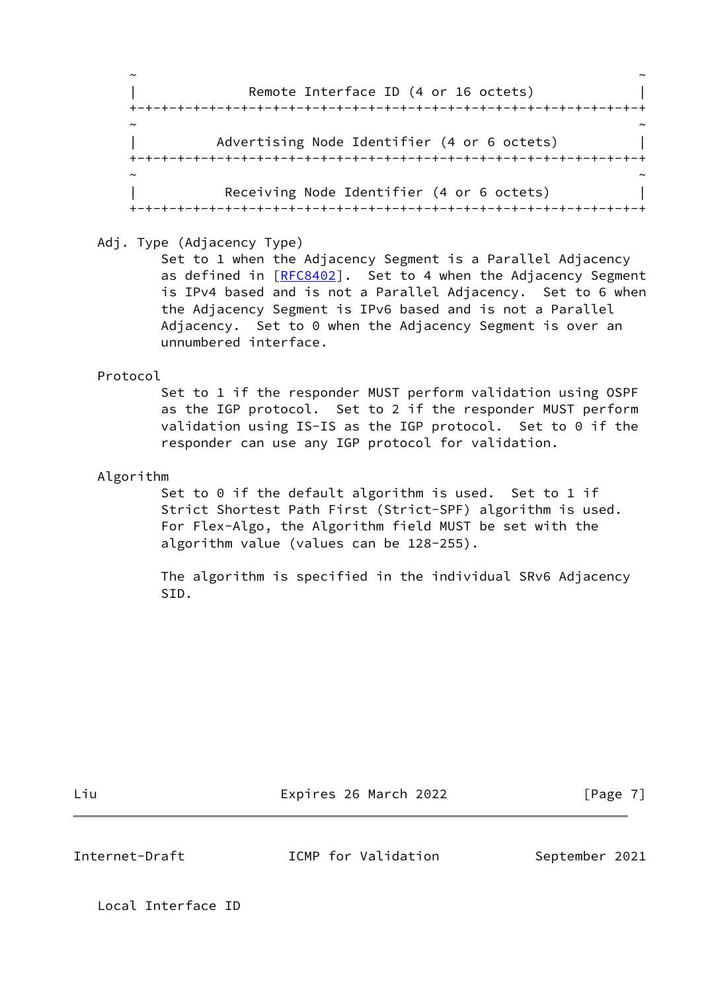~ ~ | Remote Interface ID (4 or 16 octets) | +-+-+-+-+-+-+-+-+-+-+-+-+-+-+-+-+-+-+-+-+-+-+-+-+-+-+-+-+-+-+-+-+ ~ ~ Advertising Node Identifier (4 or 6 octets) +-+-+-+-+-+-+-+-+-+-+-+-+-+-+-+-+-+-+-+-+-+-+-+-+-+-+-+-+-+-+-+-+ ~ ~ Receiving Node Identifier (4 or 6 octets) +-+-+-+-+-+-+-+-+-+-+-+-+-+-+-+-+-+-+-+-+-+-+-+-+-+-+-+-+-+-+-+-+

Adj. Type (Adjacency Type)

 Set to 1 when the Adjacency Segment is a Parallel Adjacency as defined in [[RFC8402](https://datatracker.ietf.org/doc/pdf/rfc8402)]. Set to 4 when the Adjacency Segment is IPv4 based and is not a Parallel Adjacency. Set to 6 when the Adjacency Segment is IPv6 based and is not a Parallel Adjacency. Set to 0 when the Adjacency Segment is over an unnumbered interface.

Protocol

 Set to 1 if the responder MUST perform validation using OSPF as the IGP protocol. Set to 2 if the responder MUST perform validation using IS-IS as the IGP protocol. Set to 0 if the responder can use any IGP protocol for validation.

Algorithm

Set to 0 if the default algorithm is used. Set to 1 if Strict Shortest Path First (Strict-SPF) algorithm is used. For Flex-Algo, the Algorithm field MUST be set with the algorithm value (values can be 128-255).

 The algorithm is specified in the individual SRv6 Adjacency SID.

Liu Expires 26 March 2022 [Page 7]

<span id="page-7-0"></span>Internet-Draft **ICMP** for Validation September 2021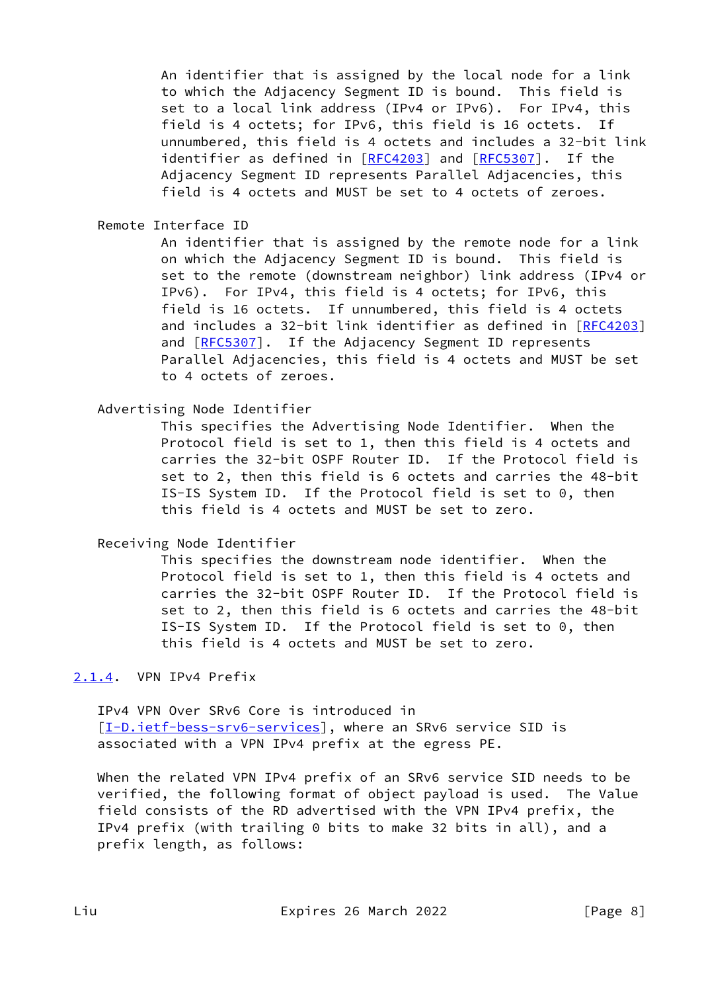An identifier that is assigned by the local node for a link to which the Adjacency Segment ID is bound. This field is set to a local link address (IPv4 or IPv6). For IPv4, this field is 4 octets; for IPv6, this field is 16 octets. If unnumbered, this field is 4 octets and includes a 32-bit link identifier as defined in [\[RFC4203](https://datatracker.ietf.org/doc/pdf/rfc4203)] and [\[RFC5307](https://datatracker.ietf.org/doc/pdf/rfc5307)]. If the Adjacency Segment ID represents Parallel Adjacencies, this field is 4 octets and MUST be set to 4 octets of zeroes.

Remote Interface ID

 An identifier that is assigned by the remote node for a link on which the Adjacency Segment ID is bound. This field is set to the remote (downstream neighbor) link address (IPv4 or IPv6). For IPv4, this field is 4 octets; for IPv6, this field is 16 octets. If unnumbered, this field is 4 octets and includes a 32-bit link identifier as defined in [\[RFC4203](https://datatracker.ietf.org/doc/pdf/rfc4203)] and [\[RFC5307](https://datatracker.ietf.org/doc/pdf/rfc5307)]. If the Adjacency Segment ID represents Parallel Adjacencies, this field is 4 octets and MUST be set to 4 octets of zeroes.

Advertising Node Identifier

 This specifies the Advertising Node Identifier. When the Protocol field is set to 1, then this field is 4 octets and carries the 32-bit OSPF Router ID. If the Protocol field is set to 2, then this field is 6 octets and carries the 48-bit IS-IS System ID. If the Protocol field is set to 0, then this field is 4 octets and MUST be set to zero.

Receiving Node Identifier

 This specifies the downstream node identifier. When the Protocol field is set to 1, then this field is 4 octets and carries the 32-bit OSPF Router ID. If the Protocol field is set to 2, then this field is 6 octets and carries the 48-bit IS-IS System ID. If the Protocol field is set to 0, then this field is 4 octets and MUST be set to zero.

## <span id="page-8-0"></span>[2.1.4](#page-8-0). VPN IPv4 Prefix

 IPv4 VPN Over SRv6 Core is introduced in [\[I-D.ietf-bess-srv6-services](#page-17-0)], where an SRv6 service SID is associated with a VPN IPv4 prefix at the egress PE.

 When the related VPN IPv4 prefix of an SRv6 service SID needs to be verified, the following format of object payload is used. The Value field consists of the RD advertised with the VPN IPv4 prefix, the IPv4 prefix (with trailing 0 bits to make 32 bits in all), and a prefix length, as follows: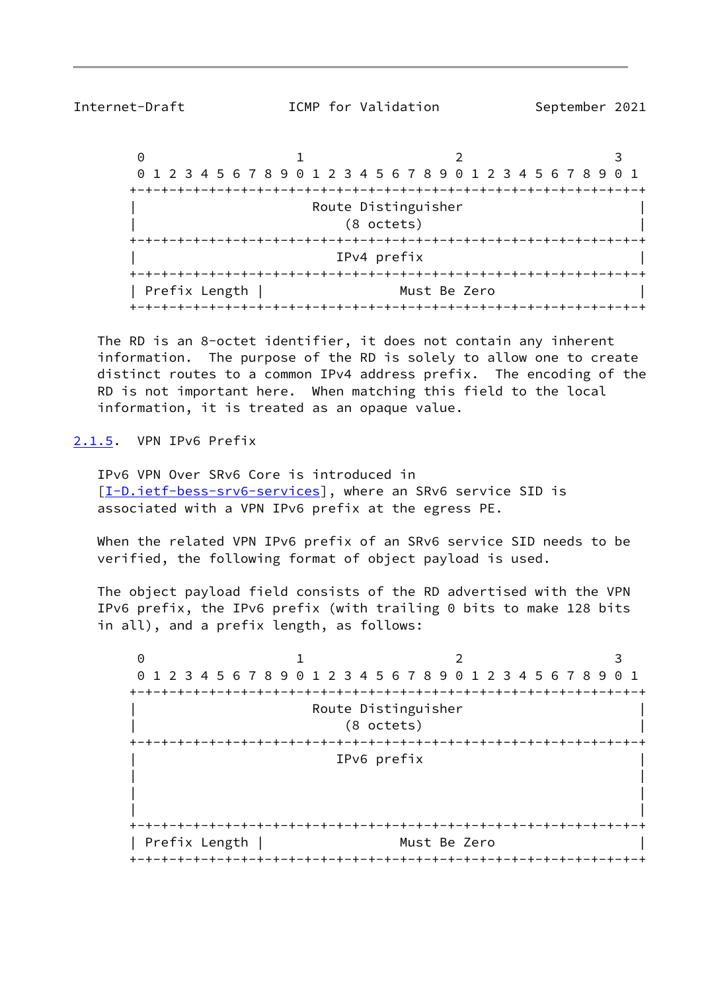<span id="page-9-1"></span>

Internet-Draft **ICMP** for Validation September 2021

 $0$  1 2 3 0 1 2 3 4 5 6 7 8 9 0 1 2 3 4 5 6 7 8 9 0 1 2 3 4 5 6 7 8 9 0 1 +-+-+-+-+-+-+-+-+-+-+-+-+-+-+-+-+-+-+-+-+-+-+-+-+-+-+-+-+-+-+-+-+ Route Distinguisher | (8 octets) | +-+-+-+-+-+-+-+-+-+-+-+-+-+-+-+-+-+-+-+-+-+-+-+-+-+-+-+-+-+-+-+-+ | IPv4 prefix | +-+-+-+-+-+-+-+-+-+-+-+-+-+-+-+-+-+-+-+-+-+-+-+-+-+-+-+-+-+-+-+-+ | Prefix Length | Must Be Zero +-+-+-+-+-+-+-+-+-+-+-+-+-+-+-+-+-+-+-+-+-+-+-+-+-+-+-+-+-+-+-+-+

 The RD is an 8-octet identifier, it does not contain any inherent information. The purpose of the RD is solely to allow one to create distinct routes to a common IPv4 address prefix. The encoding of the RD is not important here. When matching this field to the local information, it is treated as an opaque value.

<span id="page-9-0"></span>[2.1.5](#page-9-0). VPN IPv6 Prefix

 IPv6 VPN Over SRv6 Core is introduced in [\[I-D.ietf-bess-srv6-services](#page-17-0)], where an SRv6 service SID is associated with a VPN IPv6 prefix at the egress PE.

 When the related VPN IPv6 prefix of an SRv6 service SID needs to be verified, the following format of object payload is used.

 The object payload field consists of the RD advertised with the VPN IPv6 prefix, the IPv6 prefix (with trailing 0 bits to make 128 bits in all), and a prefix length, as follows:

 $0$  1 2 3 0 1 2 3 4 5 6 7 8 9 0 1 2 3 4 5 6 7 8 9 0 1 2 3 4 5 6 7 8 9 0 1 +-+-+-+-+-+-+-+-+-+-+-+-+-+-+-+-+-+-+-+-+-+-+-+-+-+-+-+-+-+-+-+-+ Route Distinguisher | (8 octets) | +-+-+-+-+-+-+-+-+-+-+-+-+-+-+-+-+-+-+-+-+-+-+-+-+-+-+-+-+-+-+-+-+ | IPv6 prefix | | | | | | | +-+-+-+-+-+-+-+-+-+-+-+-+-+-+-+-+-+-+-+-+-+-+-+-+-+-+-+-+-+-+-+-+ | Prefix Length | Must Be Zero | +-+-+-+-+-+-+-+-+-+-+-+-+-+-+-+-+-+-+-+-+-+-+-+-+-+-+-+-+-+-+-+-+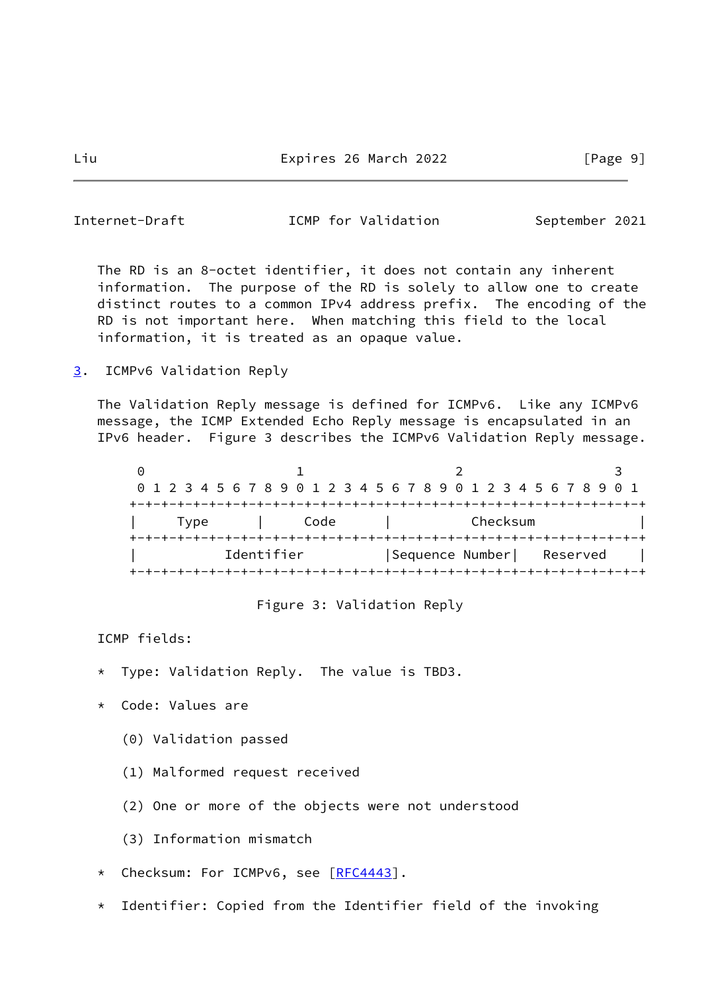<span id="page-10-1"></span>Internet-Draft **ICMP** for Validation September 2021

 The RD is an 8-octet identifier, it does not contain any inherent information. The purpose of the RD is solely to allow one to create distinct routes to a common IPv4 address prefix. The encoding of the RD is not important here. When matching this field to the local information, it is treated as an opaque value.

<span id="page-10-0"></span>[3](#page-10-0). ICMPv6 Validation Reply

 The Validation Reply message is defined for ICMPv6. Like any ICMPv6 message, the ICMP Extended Echo Reply message is encapsulated in an IPv6 header. Figure 3 describes the ICMPv6 Validation Reply message.

 $0$  1 2 3 0 1 2 3 4 5 6 7 8 9 0 1 2 3 4 5 6 7 8 9 0 1 2 3 4 5 6 7 8 9 0 1 +-+-+-+-+-+-+-+-+-+-+-+-+-+-+-+-+-+-+-+-+-+-+-+-+-+-+-+-+-+-+-+-+ | Type | Code | Checksum | +-+-+-+-+-+-+-+-+-+-+-+-+-+-+-+-+-+-+-+-+-+-+-+-+-+-+-+-+-+-+-+-+ Identifier | Sequence Number| Reserved | +-+-+-+-+-+-+-+-+-+-+-+-+-+-+-+-+-+-+-+-+-+-+-+-+-+-+-+-+-+-+-+-+

Figure 3: Validation Reply

ICMP fields:

- Type: Validation Reply. The value is TBD3.
- \* Code: Values are
	- (0) Validation passed
	- (1) Malformed request received
	- (2) One or more of the objects were not understood
	- (3) Information mismatch
- \* Checksum: For ICMPv6, see [\[RFC4443](https://datatracker.ietf.org/doc/pdf/rfc4443)].
- \* Identifier: Copied from the Identifier field of the invoking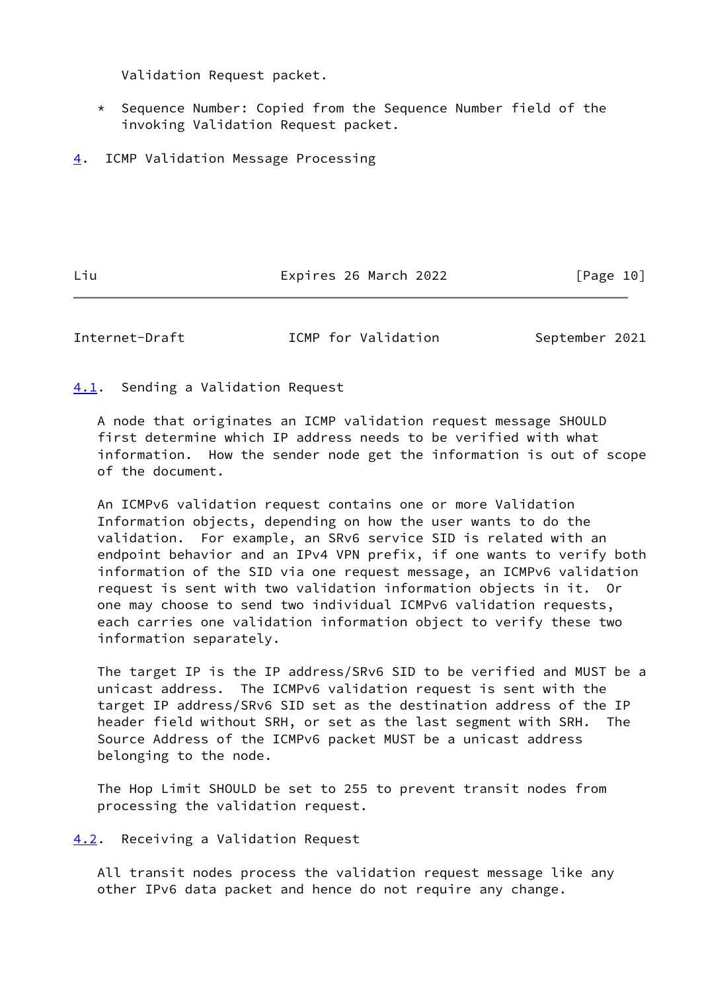Validation Request packet.

- \* Sequence Number: Copied from the Sequence Number field of the invoking Validation Request packet.
- <span id="page-11-0"></span>[4](#page-11-0). ICMP Validation Message Processing

Liu Expires 26 March 2022 [Page 10]

<span id="page-11-2"></span>Internet-Draft ICMP for Validation September 2021

<span id="page-11-1"></span>[4.1](#page-11-1). Sending a Validation Request

 A node that originates an ICMP validation request message SHOULD first determine which IP address needs to be verified with what information. How the sender node get the information is out of scope of the document.

 An ICMPv6 validation request contains one or more Validation Information objects, depending on how the user wants to do the validation. For example, an SRv6 service SID is related with an endpoint behavior and an IPv4 VPN prefix, if one wants to verify both information of the SID via one request message, an ICMPv6 validation request is sent with two validation information objects in it. Or one may choose to send two individual ICMPv6 validation requests, each carries one validation information object to verify these two information separately.

 The target IP is the IP address/SRv6 SID to be verified and MUST be a unicast address. The ICMPv6 validation request is sent with the target IP address/SRv6 SID set as the destination address of the IP header field without SRH, or set as the last segment with SRH. The Source Address of the ICMPv6 packet MUST be a unicast address belonging to the node.

 The Hop Limit SHOULD be set to 255 to prevent transit nodes from processing the validation request.

<span id="page-11-3"></span>[4.2](#page-11-3). Receiving a Validation Request

 All transit nodes process the validation request message like any other IPv6 data packet and hence do not require any change.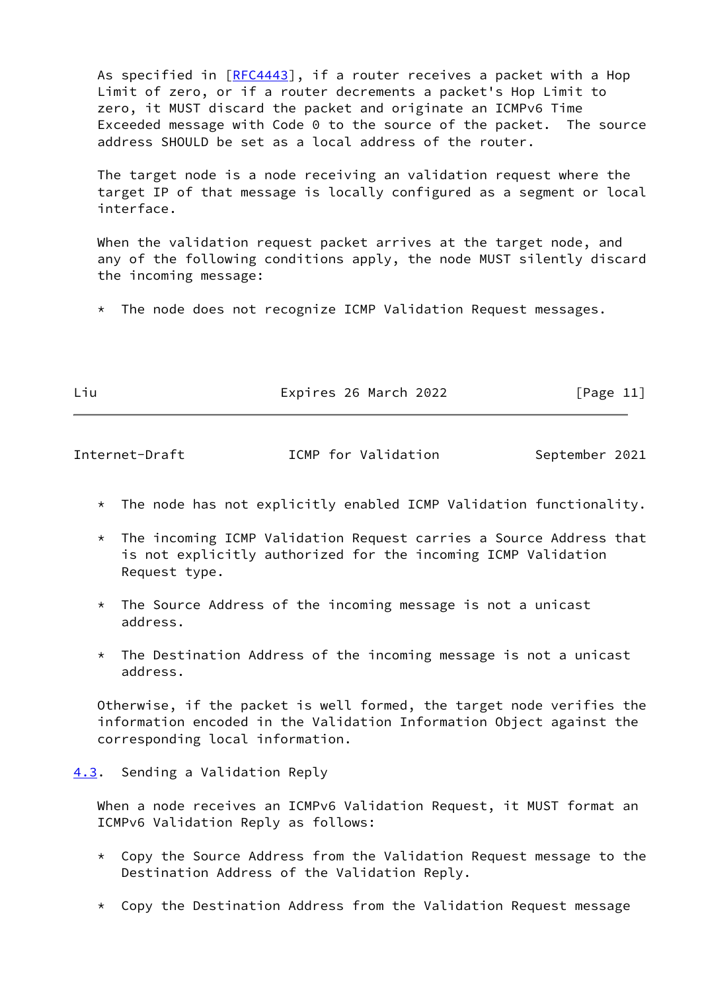As specified in [\[RFC4443](https://datatracker.ietf.org/doc/pdf/rfc4443)], if a router receives a packet with a Hop Limit of zero, or if a router decrements a packet's Hop Limit to zero, it MUST discard the packet and originate an ICMPv6 Time Exceeded message with Code 0 to the source of the packet. The source address SHOULD be set as a local address of the router.

 The target node is a node receiving an validation request where the target IP of that message is locally configured as a segment or local interface.

 When the validation request packet arrives at the target node, and any of the following conditions apply, the node MUST silently discard the incoming message:

\* The node does not recognize ICMP Validation Request messages.

|  | × |
|--|---|

Expires 26 March 2022 [Page 11]

<span id="page-12-1"></span>Internet-Draft **ICMP** for Validation September 2021

- \* The node has not explicitly enabled ICMP Validation functionality.
- \* The incoming ICMP Validation Request carries a Source Address that is not explicitly authorized for the incoming ICMP Validation Request type.
- \* The Source Address of the incoming message is not a unicast address.
- \* The Destination Address of the incoming message is not a unicast address.

 Otherwise, if the packet is well formed, the target node verifies the information encoded in the Validation Information Object against the corresponding local information.

<span id="page-12-0"></span>[4.3](#page-12-0). Sending a Validation Reply

 When a node receives an ICMPv6 Validation Request, it MUST format an ICMPv6 Validation Reply as follows:

- $*$  Copy the Source Address from the Validation Request message to the Destination Address of the Validation Reply.
- \* Copy the Destination Address from the Validation Request message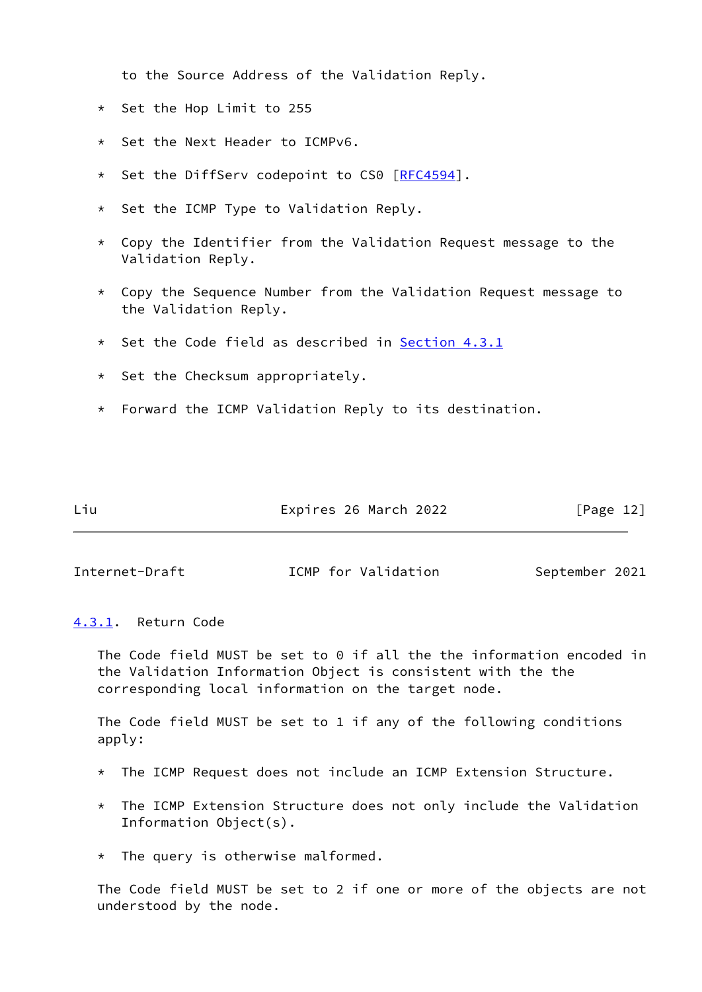to the Source Address of the Validation Reply.

- \* Set the Hop Limit to 255
- Set the Next Header to ICMPv6.
- \* Set the DiffServ codepoint to CS0 [\[RFC4594](https://datatracker.ietf.org/doc/pdf/rfc4594)].
- \* Set the ICMP Type to Validation Reply.
- $*$  Copy the Identifier from the Validation Request message to the Validation Reply.
- \* Copy the Sequence Number from the Validation Request message to the Validation Reply.
- \* Set the Code field as described in [Section 4.3.1](#page-13-0)
- \* Set the Checksum appropriately.
- \* Forward the ICMP Validation Reply to its destination.

Liu Expires 26 March 2022 [Page 12]

<span id="page-13-1"></span>Internet-Draft **ICMP** for Validation September 2021

#### <span id="page-13-0"></span>[4.3.1](#page-13-0). Return Code

 The Code field MUST be set to 0 if all the the information encoded in the Validation Information Object is consistent with the the corresponding local information on the target node.

 The Code field MUST be set to 1 if any of the following conditions apply:

- \* The ICMP Request does not include an ICMP Extension Structure.
- \* The ICMP Extension Structure does not only include the Validation Information Object(s).
- $*$  The query is otherwise malformed.

 The Code field MUST be set to 2 if one or more of the objects are not understood by the node.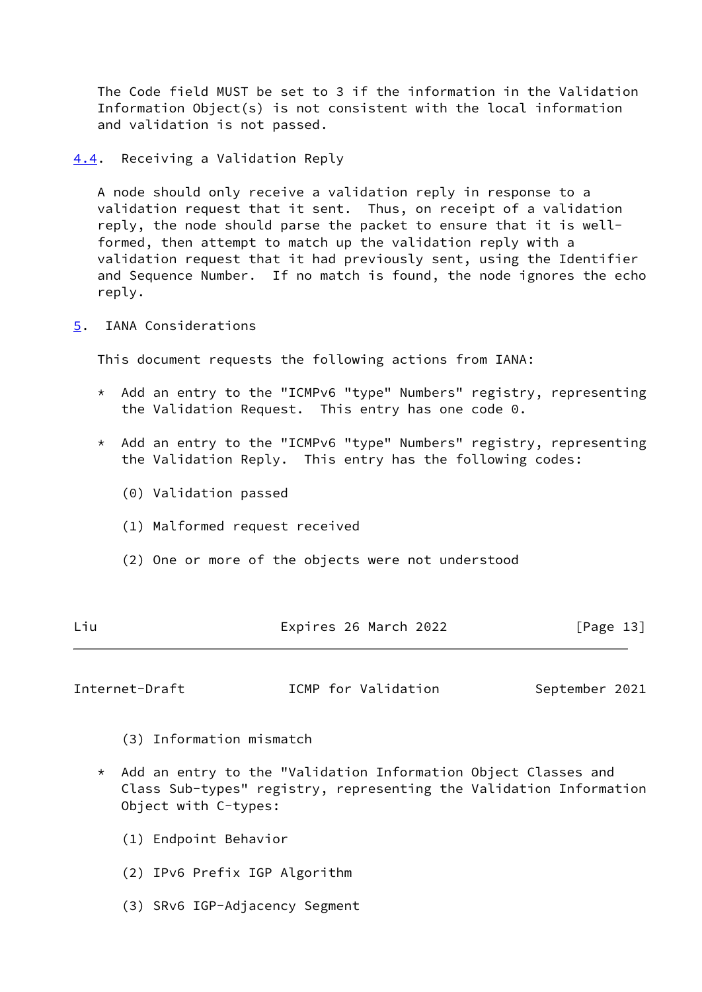The Code field MUST be set to 3 if the information in the Validation Information Object(s) is not consistent with the local information and validation is not passed.

<span id="page-14-0"></span>[4.4](#page-14-0). Receiving a Validation Reply

 A node should only receive a validation reply in response to a validation request that it sent. Thus, on receipt of a validation reply, the node should parse the packet to ensure that it is well formed, then attempt to match up the validation reply with a validation request that it had previously sent, using the Identifier and Sequence Number. If no match is found, the node ignores the echo reply.

<span id="page-14-1"></span>[5](#page-14-1). IANA Considerations

This document requests the following actions from IANA:

- \* Add an entry to the "ICMPv6 "type" Numbers" registry, representing the Validation Request. This entry has one code 0.
- \* Add an entry to the "ICMPv6 "type" Numbers" registry, representing the Validation Reply. This entry has the following codes:
	- (0) Validation passed
	- (1) Malformed request received
	- (2) One or more of the objects were not understood

| Expires 26 March 2022<br>Liu<br>[Page 13] |
|-------------------------------------------|
|-------------------------------------------|

<span id="page-14-2"></span>Internet-Draft **ICMP** for Validation September 2021

- (3) Information mismatch
- \* Add an entry to the "Validation Information Object Classes and Class Sub-types" registry, representing the Validation Information Object with C-types:
	- (1) Endpoint Behavior
	- (2) IPv6 Prefix IGP Algorithm
	- (3) SRv6 IGP-Adjacency Segment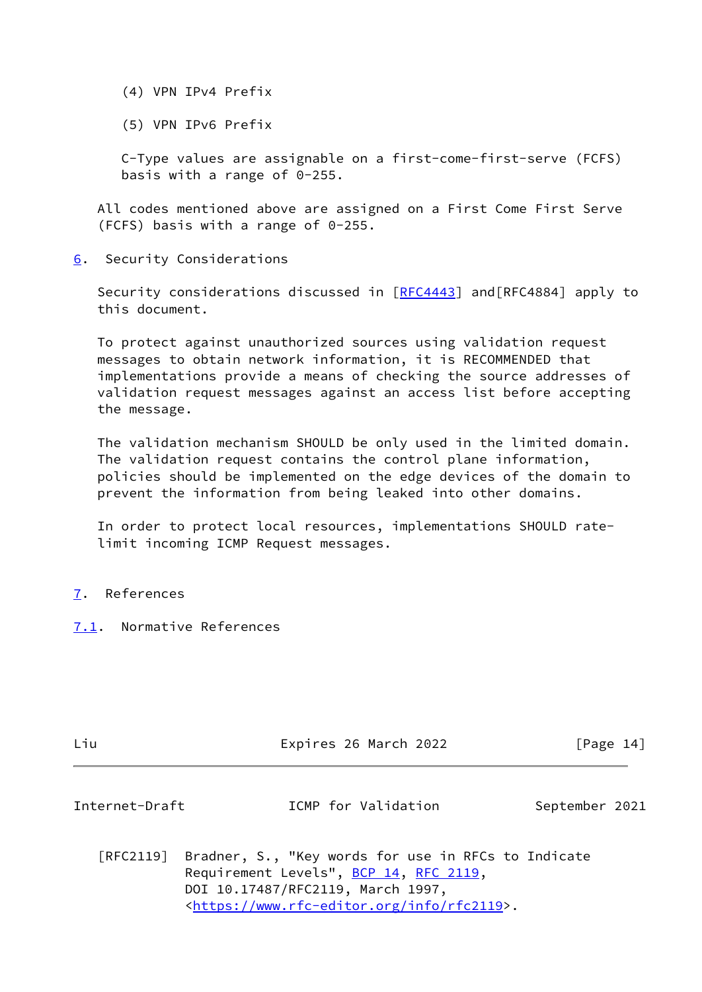- (4) VPN IPv4 Prefix
- (5) VPN IPv6 Prefix

 C-Type values are assignable on a first-come-first-serve (FCFS) basis with a range of 0-255.

 All codes mentioned above are assigned on a First Come First Serve (FCFS) basis with a range of 0-255.

<span id="page-15-0"></span>[6](#page-15-0). Security Considerations

Security considerations discussed in [\[RFC4443](https://datatracker.ietf.org/doc/pdf/rfc4443)] and [RFC4884] apply to this document.

 To protect against unauthorized sources using validation request messages to obtain network information, it is RECOMMENDED that implementations provide a means of checking the source addresses of validation request messages against an access list before accepting the message.

 The validation mechanism SHOULD be only used in the limited domain. The validation request contains the control plane information, policies should be implemented on the edge devices of the domain to prevent the information from being leaked into other domains.

 In order to protect local resources, implementations SHOULD rate limit incoming ICMP Request messages.

- <span id="page-15-1"></span>[7](#page-15-1). References
- <span id="page-15-2"></span>[7.1](#page-15-2). Normative References

|  | I<br>× |  |
|--|--------|--|
|  |        |  |

Expires 26 March 2022 [Page 14]

<span id="page-15-3"></span>Internet-Draft **ICMP** for Validation September 2021

 [RFC2119] Bradner, S., "Key words for use in RFCs to Indicate Requirement Levels", [BCP 14](https://datatracker.ietf.org/doc/pdf/bcp14), [RFC 2119](https://datatracker.ietf.org/doc/pdf/rfc2119), DOI 10.17487/RFC2119, March 1997, <[https://www.rfc-editor.org/info/rfc2119>](https://www.rfc-editor.org/info/rfc2119).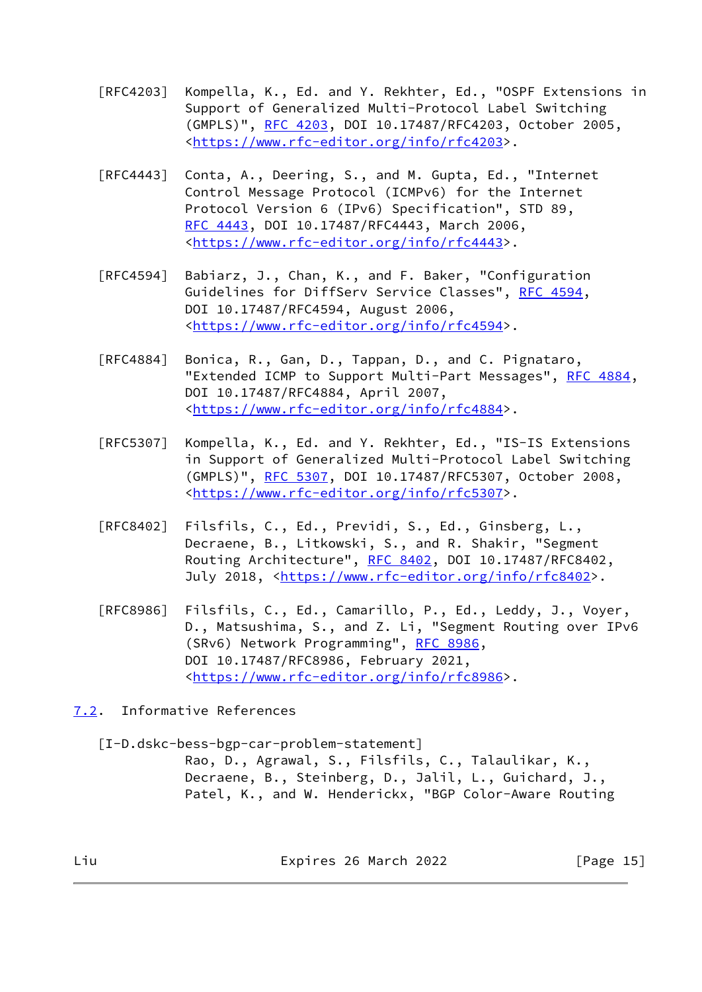- [RFC4203] Kompella, K., Ed. and Y. Rekhter, Ed., "OSPF Extensions in Support of Generalized Multi-Protocol Label Switching (GMPLS)", [RFC 4203](https://datatracker.ietf.org/doc/pdf/rfc4203), DOI 10.17487/RFC4203, October 2005, <[https://www.rfc-editor.org/info/rfc4203>](https://www.rfc-editor.org/info/rfc4203).
- [RFC4443] Conta, A., Deering, S., and M. Gupta, Ed., "Internet Control Message Protocol (ICMPv6) for the Internet Protocol Version 6 (IPv6) Specification", STD 89, [RFC 4443,](https://datatracker.ietf.org/doc/pdf/rfc4443) DOI 10.17487/RFC4443, March 2006, <[https://www.rfc-editor.org/info/rfc4443>](https://www.rfc-editor.org/info/rfc4443).
- [RFC4594] Babiarz, J., Chan, K., and F. Baker, "Configuration Guidelines for DiffServ Service Classes", [RFC 4594](https://datatracker.ietf.org/doc/pdf/rfc4594), DOI 10.17487/RFC4594, August 2006, <[https://www.rfc-editor.org/info/rfc4594>](https://www.rfc-editor.org/info/rfc4594).
- [RFC4884] Bonica, R., Gan, D., Tappan, D., and C. Pignataro, "Extended ICMP to Support Multi-Part Messages", [RFC 4884,](https://datatracker.ietf.org/doc/pdf/rfc4884) DOI 10.17487/RFC4884, April 2007, <[https://www.rfc-editor.org/info/rfc4884>](https://www.rfc-editor.org/info/rfc4884).
- [RFC5307] Kompella, K., Ed. and Y. Rekhter, Ed., "IS-IS Extensions in Support of Generalized Multi-Protocol Label Switching (GMPLS)", [RFC 5307](https://datatracker.ietf.org/doc/pdf/rfc5307), DOI 10.17487/RFC5307, October 2008, <[https://www.rfc-editor.org/info/rfc5307>](https://www.rfc-editor.org/info/rfc5307).
- [RFC8402] Filsfils, C., Ed., Previdi, S., Ed., Ginsberg, L., Decraene, B., Litkowski, S., and R. Shakir, "Segment Routing Architecture", [RFC 8402](https://datatracker.ietf.org/doc/pdf/rfc8402), DOI 10.17487/RFC8402, July 2018, <<https://www.rfc-editor.org/info/rfc8402>>.
- [RFC8986] Filsfils, C., Ed., Camarillo, P., Ed., Leddy, J., Voyer, D., Matsushima, S., and Z. Li, "Segment Routing over IPv6 (SRv6) Network Programming", [RFC 8986](https://datatracker.ietf.org/doc/pdf/rfc8986), DOI 10.17487/RFC8986, February 2021, <[https://www.rfc-editor.org/info/rfc8986>](https://www.rfc-editor.org/info/rfc8986).
- <span id="page-16-0"></span>[7.2](#page-16-0). Informative References

<span id="page-16-1"></span>[I-D.dskc-bess-bgp-car-problem-statement]

 Rao, D., Agrawal, S., Filsfils, C., Talaulikar, K., Decraene, B., Steinberg, D., Jalil, L., Guichard, J., Patel, K., and W. Henderickx, "BGP Color-Aware Routing

Liu Expires 26 March 2022 [Page 15]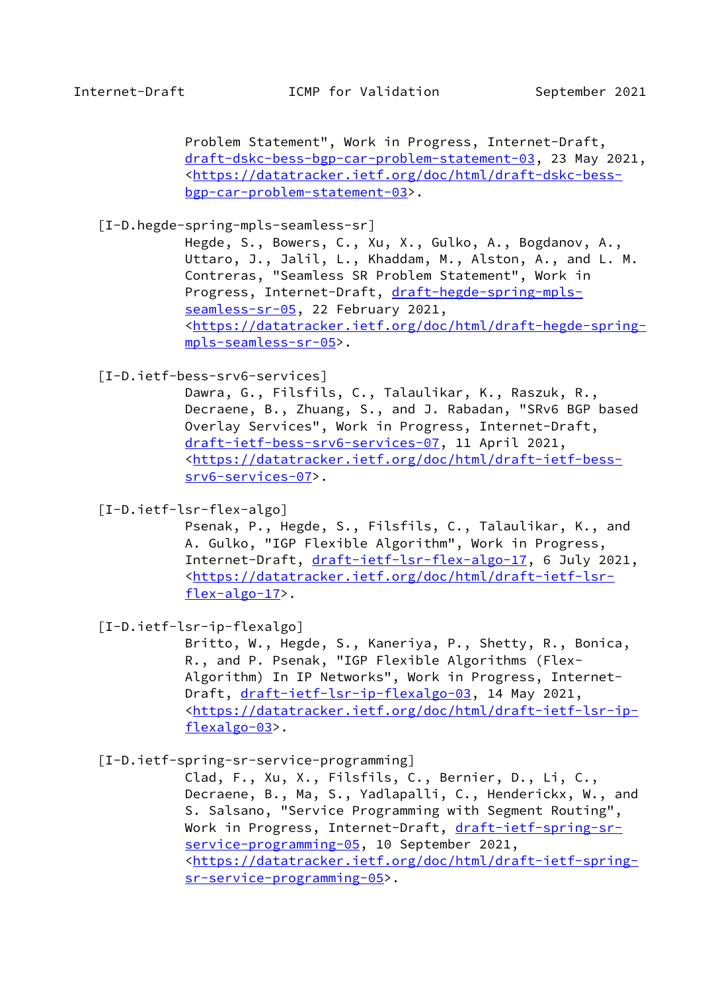Problem Statement", Work in Progress, Internet-Draft, [draft-dskc-bess-bgp-car-problem-statement-03,](https://datatracker.ietf.org/doc/pdf/draft-dskc-bess-bgp-car-problem-statement-03) 23 May 2021, <[https://datatracker.ietf.org/doc/html/draft-dskc-bess](https://datatracker.ietf.org/doc/html/draft-dskc-bess-bgp-car-problem-statement-03) [bgp-car-problem-statement-03>](https://datatracker.ietf.org/doc/html/draft-dskc-bess-bgp-car-problem-statement-03).

<span id="page-17-4"></span>[I-D.hegde-spring-mpls-seamless-sr]

 Hegde, S., Bowers, C., Xu, X., Gulko, A., Bogdanov, A., Uttaro, J., Jalil, L., Khaddam, M., Alston, A., and L. M. Contreras, "Seamless SR Problem Statement", Work in Progress, Internet-Draft, [draft-hegde-spring-mpls](https://datatracker.ietf.org/doc/pdf/draft-hegde-spring-mpls-seamless-sr-05) [seamless-sr-05](https://datatracker.ietf.org/doc/pdf/draft-hegde-spring-mpls-seamless-sr-05), 22 February 2021, <[https://datatracker.ietf.org/doc/html/draft-hegde-spring](https://datatracker.ietf.org/doc/html/draft-hegde-spring-mpls-seamless-sr-05) [mpls-seamless-sr-05](https://datatracker.ietf.org/doc/html/draft-hegde-spring-mpls-seamless-sr-05)>.

<span id="page-17-0"></span>[I-D.ietf-bess-srv6-services]

 Dawra, G., Filsfils, C., Talaulikar, K., Raszuk, R., Decraene, B., Zhuang, S., and J. Rabadan, "SRv6 BGP based Overlay Services", Work in Progress, Internet-Draft, [draft-ietf-bess-srv6-services-07,](https://datatracker.ietf.org/doc/pdf/draft-ietf-bess-srv6-services-07) 11 April 2021, <[https://datatracker.ietf.org/doc/html/draft-ietf-bess](https://datatracker.ietf.org/doc/html/draft-ietf-bess-srv6-services-07) [srv6-services-07>](https://datatracker.ietf.org/doc/html/draft-ietf-bess-srv6-services-07).

<span id="page-17-1"></span>[I-D.ietf-lsr-flex-algo]

 Psenak, P., Hegde, S., Filsfils, C., Talaulikar, K., and A. Gulko, "IGP Flexible Algorithm", Work in Progress, Internet-Draft, [draft-ietf-lsr-flex-algo-17](https://datatracker.ietf.org/doc/pdf/draft-ietf-lsr-flex-algo-17), 6 July 2021, <[https://datatracker.ietf.org/doc/html/draft-ietf-lsr](https://datatracker.ietf.org/doc/html/draft-ietf-lsr-flex-algo-17) [flex-algo-17>](https://datatracker.ietf.org/doc/html/draft-ietf-lsr-flex-algo-17).

<span id="page-17-2"></span>[I-D.ietf-lsr-ip-flexalgo]

 Britto, W., Hegde, S., Kaneriya, P., Shetty, R., Bonica, R., and P. Psenak, "IGP Flexible Algorithms (Flex- Algorithm) In IP Networks", Work in Progress, Internet Draft, [draft-ietf-lsr-ip-flexalgo-03,](https://datatracker.ietf.org/doc/pdf/draft-ietf-lsr-ip-flexalgo-03) 14 May 2021, <[https://datatracker.ietf.org/doc/html/draft-ietf-lsr-ip](https://datatracker.ietf.org/doc/html/draft-ietf-lsr-ip-flexalgo-03) [flexalgo-03](https://datatracker.ietf.org/doc/html/draft-ietf-lsr-ip-flexalgo-03)>.

<span id="page-17-3"></span>[I-D.ietf-spring-sr-service-programming]

 Clad, F., Xu, X., Filsfils, C., Bernier, D., Li, C., Decraene, B., Ma, S., Yadlapalli, C., Henderickx, W., and S. Salsano, "Service Programming with Segment Routing", Work in Progress, Internet-Draft, [draft-ietf-spring-sr](https://datatracker.ietf.org/doc/pdf/draft-ietf-spring-sr-service-programming-05) [service-programming-05](https://datatracker.ietf.org/doc/pdf/draft-ietf-spring-sr-service-programming-05), 10 September 2021, <[https://datatracker.ietf.org/doc/html/draft-ietf-spring](https://datatracker.ietf.org/doc/html/draft-ietf-spring-sr-service-programming-05) [sr-service-programming-05>](https://datatracker.ietf.org/doc/html/draft-ietf-spring-sr-service-programming-05).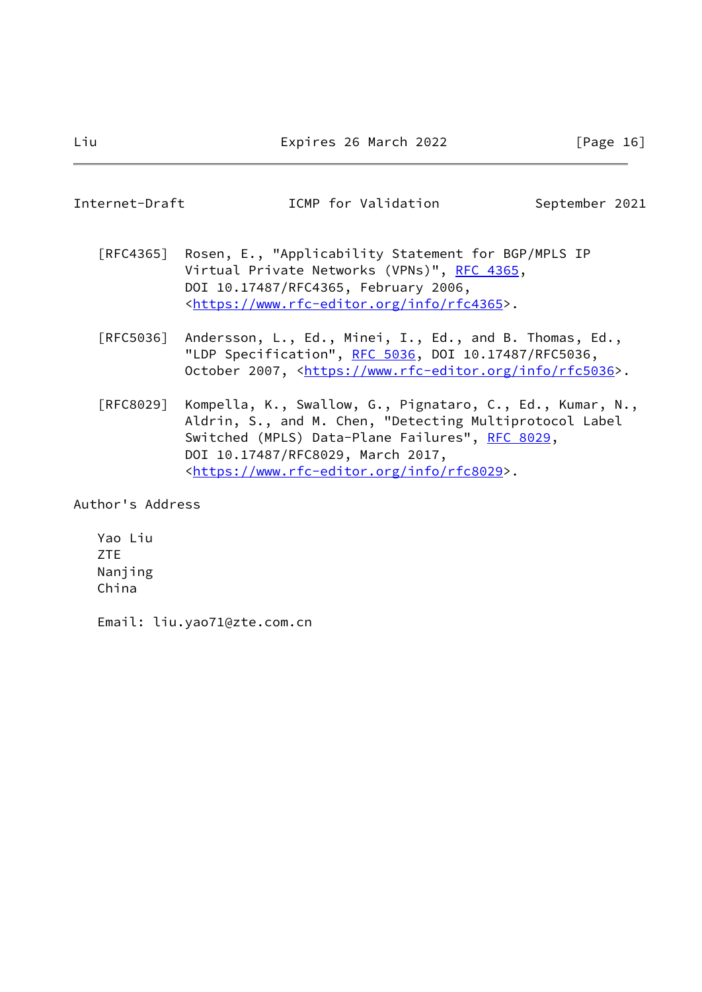# <span id="page-18-0"></span>Internet-Draft **ICMP** for Validation September 2021

- [RFC4365] Rosen, E., "Applicability Statement for BGP/MPLS IP Virtual Private Networks (VPNs)", [RFC 4365](https://datatracker.ietf.org/doc/pdf/rfc4365), DOI 10.17487/RFC4365, February 2006, <[https://www.rfc-editor.org/info/rfc4365>](https://www.rfc-editor.org/info/rfc4365).
- [RFC5036] Andersson, L., Ed., Minei, I., Ed., and B. Thomas, Ed., "LDP Specification", [RFC 5036](https://datatracker.ietf.org/doc/pdf/rfc5036), DOI 10.17487/RFC5036, October 2007, [<https://www.rfc-editor.org/info/rfc5036](https://www.rfc-editor.org/info/rfc5036)>.
- [RFC8029] Kompella, K., Swallow, G., Pignataro, C., Ed., Kumar, N., Aldrin, S., and M. Chen, "Detecting Multiprotocol Label Switched (MPLS) Data-Plane Failures", [RFC 8029](https://datatracker.ietf.org/doc/pdf/rfc8029), DOI 10.17487/RFC8029, March 2017, <[https://www.rfc-editor.org/info/rfc8029>](https://www.rfc-editor.org/info/rfc8029).

Author's Address

 Yao Liu ZTE Nanjing China

Email: liu.yao71@zte.com.cn